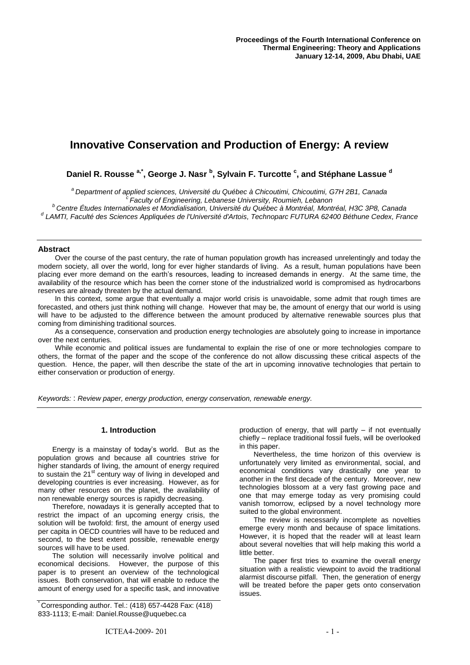# **Innovative Conservation and Production of Energy: A review**

**Daniel R. Rousse a,\*, George J. Nasr <sup>b</sup> , Sylvain F. Turcotte <sup>c</sup> , and Stéphane Lassue <sup>d</sup>**

*<sup>a</sup>Department of applied sciences, Université du Québec à Chicoutimi, Chicoutimi, G7H 2B1, Canada*

*<sup>c</sup>Faculty of Engineering, Lebanese University, Roumieh, Lebanon*

*<sup>b</sup> Centre Études Internationales et Mondialisation, Université du Québec à Montréal, Montréal, H3C 3P8, Canada d LAMTI, Faculté des Sciences Appliquées de l'Université d'Artois, Technoparc FUTURA 62400 Béthune Cedex, France*

## **Abstract**

Over the course of the past century, the rate of human population growth has increased unrelentingly and today the modern society, all over the world, long for ever higher standards of living. As a result, human populations have been placing ever more demand on the earth's resources, leading to increased demands in energy. At the same time, the availability of the resource which has been the corner stone of the industrialized world is compromised as hydrocarbons reserves are already threaten by the actual demand.

In this context, some argue that eventually a major world crisis is unavoidable, some admit that rough times are forecasted, and others just think nothing will change. However that may be, the amount of energy that our world is using will have to be adjusted to the difference between the amount produced by alternative renewable sources plus that coming from diminishing traditional sources.

As a consequence, conservation and production energy technologies are absolutely going to increase in importance over the next centuries.

While economic and political issues are fundamental to explain the rise of one or more technologies compare to others, the format of the paper and the scope of the conference do not allow discussing these critical aspects of the question. Hence, the paper, will then describe the state of the art in upcoming innovative technologies that pertain to either conservation or production of energy.

*Keywords:* : *Review paper, energy production, energy conservation, renewable energy.*

## **1. Introduction**

Energy is a mainstay of today's world. But as the population grows and because all countries strive for higher standards of living, the amount of energy required to sustain the 21<sup>st</sup> century way of living in developed and developing countries is ever increasing. However, as for many other resources on the planet, the availability of non renewable energy sources is rapidly decreasing.

Therefore, nowadays it is generally accepted that to restrict the impact of an upcoming energy crisis, the solution will be twofold: first, the amount of energy used per capita in OECD countries will have to be reduced and second, to the best extent possible, renewable energy sources will have to be used.

The solution will necessarily involve political and economical decisions. However, the purpose of this paper is to present an overview of the technological issues. Both conservation, that will enable to reduce the amount of energy used for a specific task, and innovative

Corresponding author. Tel.:  $(418)$  657-4428 Fax:  $(418)$ 833-1113; E-mail: Daniel.Rousse@uquebec.ca

production of energy, that will partly – if not eventually chiefly – replace traditional fossil fuels, will be overlooked in this paper.

Nevertheless, the time horizon of this overview is unfortunately very limited as environmental, social, and economical conditions vary drastically one year to another in the first decade of the century. Moreover, new technologies blossom at a very fast growing pace and one that may emerge today as very promising could vanish tomorrow, eclipsed by a novel technology more suited to the global environment.

The review is necessarily incomplete as novelties emerge every month and because of space limitations. However, it is hoped that the reader will at least learn about several novelties that will help making this world a little better.

The paper first tries to examine the overall energy situation with a realistic viewpoint to avoid the traditional alarmist discourse pitfall. Then, the generation of energy will be treated before the paper gets onto conservation issues.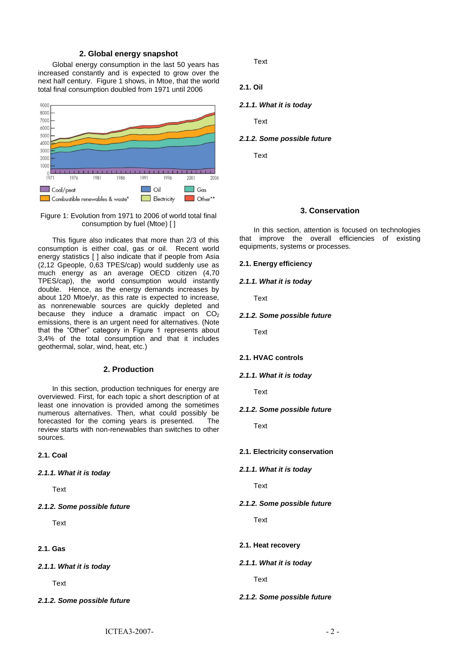### **2. Global energy snapshot**

Global energy consumption in the last 50 years has increased constantly and is expected to grow over the next half century. Figure 1 shows, in Mtoe, that the world total final consumption doubled from 1971 until 2006



Figure 1: Evolution from 1971 to 2006 of world total final consumption by fuel (Mtoe) [ ]

This figure also indicates that more than 2/3 of this consumption is either coal, gas or oil. Recent world energy statistics [ ] also indicate that if people from Asia (2,12 Gpeople, 0,63 TPES/cap) would suddenly use as much energy as an average OECD citizen (4,70 TPES/cap), the world consumption would instantly double. Hence, as the energy demands increases by about 120 Mtoe/yr, as this rate is expected to increase, as nonrenewable sources are quickly depleted and because they induce a dramatic impact on  $CO<sub>2</sub>$ emissions, there is an urgent need for alternatives. (Note that the "Other" category in Figure 1 represents about 3,4% of the total consumption and that it includes geothermal, solar, wind, heat, etc.)

#### **2. Production**

In this section, production techniques for energy are overviewed. First, for each topic a short description of at least one innovation is provided among the sometimes numerous alternatives. Then, what could possibly be forecasted for the coming years is presented. The review starts with non-renewables than switches to other sources.

#### **2.1. Coal**

#### *2.1.1. What it is today*

**Text** 

*2.1.2. Some possible future*

Text

# **2.1. Gas**

*2.1.1. What it is today*

Text

*2.1.2. Some possible future*

**Text** 

```
2.1. Oil
```
#### *2.1.1. What it is today*

Text

#### *2.1.2. Some possible future*

**Text** 

#### **3. Conservation**

In this section, attention is focused on technologies that improve the overall efficiencies of existing equipments, systems or processes.

## **2.1. Energy efficiency**

## *2.1.1. What it is today*

Text

#### *2.1.2. Some possible future*

**Text** 

## **2.1. HVAC controls**

## *2.1.1. What it is today*

**Text** 

#### *2.1.2. Some possible future*

**Text** 

#### **2.1. Electricity conservation**

*2.1.1. What it is today*

**Text** 

#### *2.1.2. Some possible future*

Text

#### **2.1. Heat recovery**

#### *2.1.1. What it is today*

Text

#### *2.1.2. Some possible future*

 $\text{ICTEA3-2007-}$  - 2 -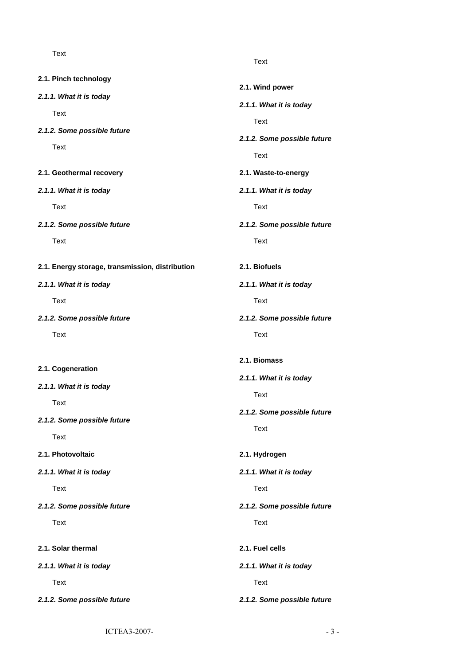Text

- **2.1. Pinch technology**
- *2.1.1. What it is today*

Text

*2.1.2. Some possible future*

Text

**2.1. Geothermal recovery**

*2.1.1. What it is today*

Text

*2.1.2. Some possible future*

Text

- **2.1. Energy storage, transmission, disti**
- *2.1.1. What it is today*

Text

*2.1.2. Some possible future*

**Text** 

## **2.1. Cogeneration**

*2.1.1. What it is today*

Text

*2.1.2. Some possible future*

Text

- **2.1. Photovoltaic**
- *2.1.1. What it is today*

Text

*2.1.2. Some possible future*

Text

**2.1. Solar thermal**

*2.1.1. What it is today*

Text

*2.1.2. Some possible future*

Text

|          | 2.1. Wind power             |
|----------|-----------------------------|
|          | 2.1.1. What it is today     |
|          | Text                        |
|          | 2.1.2. Some possible future |
|          | Text                        |
|          | 2.1. Waste-to-energy        |
|          | 2.1.1. What it is today     |
|          | <b>Text</b>                 |
|          | 2.1.2. Some possible future |
|          | Text                        |
| ribution | 2.1. Biofuels               |
|          | 2.1.1. What it is today     |
|          | Text                        |
|          | 2.1.2. Some possible future |
|          | <b>Text</b>                 |
|          |                             |
|          | 2.1. Biomass                |
|          | 2.1.1. What it is today     |
|          | Text                        |
|          | 2.1.2. Some possible future |
|          | Text                        |
|          | 2.1. Hydrogen               |
|          | 2.1.1. What it is today     |
|          | Text                        |
|          | 2.1.2. Some possible future |
|          | <b>Text</b>                 |
|          | 2.1. Fuel cells             |
|          | 2.1.1. What it is today     |
|          | Text                        |
|          | 2.1.2. Some possible future |
|          |                             |

 $ICTEA3-2007-$  - 3 -